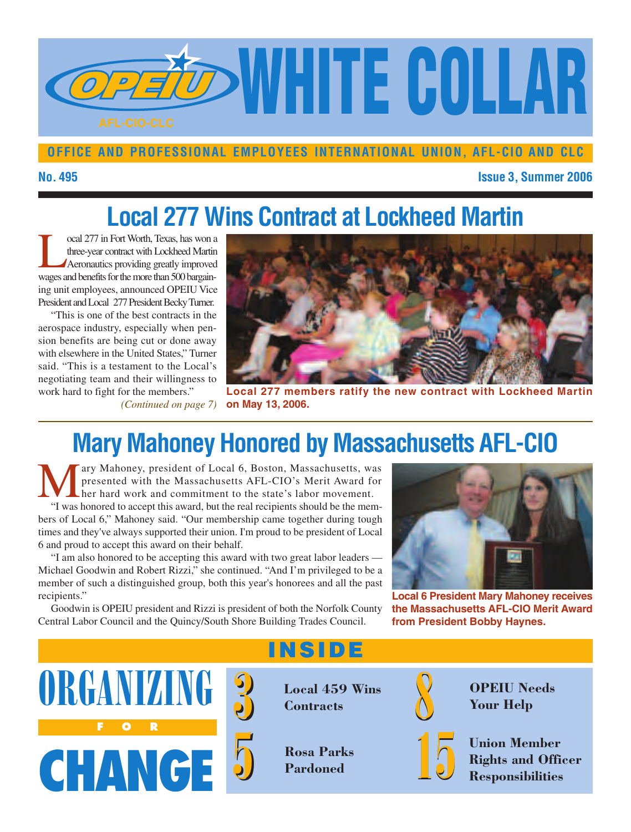

#### **OFFICE AND PROFESSIONAL EMPLOYEES INTERNATIONAL UNION, AFL-CIO AND CLC**

#### **No. 495 Issue 3, Summer 2006**

# **Local 277 Wins Contract at Lockheed Martin**

The coal 277 in Fort Worth, Texas, has won a<br>three-year contract with Lockheed Martin<br>Aeronautics providing greatly improved<br>waves and henefits for the more than 500 barvainthree-year contract with Lockheed Martin Aeronautics providing greatly improved wages and benefits for the more than 500 bargaining unit employees, announced OPEIU Vice President and Local 277 President Becky Turner.

"This is one of the best contracts in the aerospace industry, especially when pension benefits are being cut or done away with elsewhere in the United States," Turner said. "This is a testament to the Local's negotiating team and their willingness to

*(Continued on page 7)* **on May 13, 2006.**



work hard to fight for the members." **Local 277 members ratify the new contract with Lockheed Martin**

# **Mary Mahoney Honored by Massachusetts AFL-CIO**

ary Mahoney, president of Local 6, Boston, Massachusetts, was presented with the Massachusetts AFL-CIO's Merit Award for her hard work and commitment to the state's labor movement. "I was honored to accept this award, but the real recipients should be the members of Local 6," Mahoney said. "Our membership came together during tough times and they've always supported their union. I'm proud to be president of Local 6 and proud to accept this award on their behalf.

"I am also honored to be accepting this award with two great labor leaders — Michael Goodwin and Robert Rizzi," she continued. "And I'm privileged to be a member of such a distinguished group, both this year's honorees and all the past recipients."

Goodwin is OPEIU president and Rizzi is president of both the Norfolk County Central Labor Council and the Quincy/South Shore Building Trades Council.



**Local 6 President Mary Mahoney receives the Massachusetts AFL-CIO Merit Award from President Bobby Haynes.**





**INSIDE**

**Contracts**

**Rosa Parks Pardoned 5 15**



**OPEIU Needs Your Help**

**Union Member Rights and Officer Responsibilities**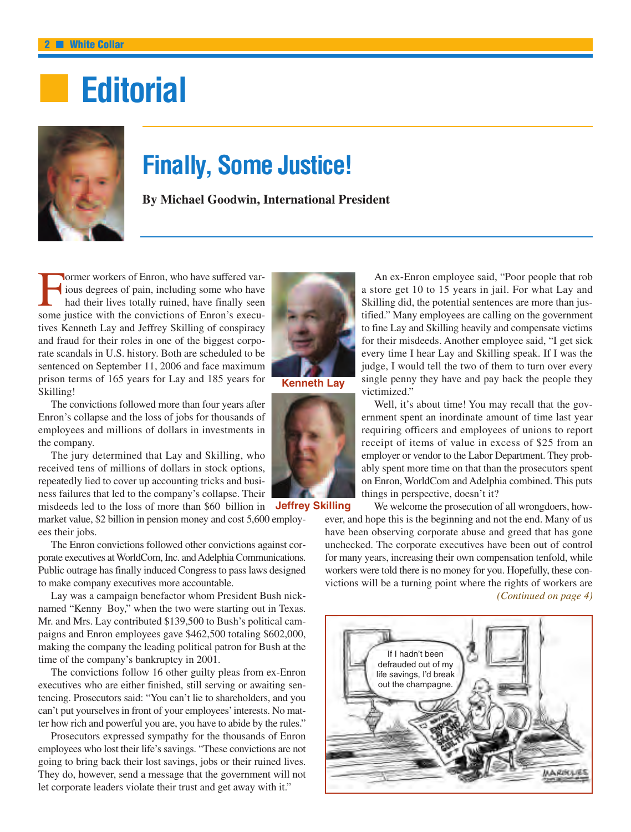# **■ Editorial**



### **Finally, Some Justice!**

**By Michael Goodwin, International President**

Former workers of Enron, who have suffered various degrees of pain, including some who have<br>had their lives totally ruined, have finally seen<br>some instice with the convictions of Enron's execuious degrees of pain, including some who have had their lives totally ruined, have finally seen some justice with the convictions of Enron's executives Kenneth Lay and Jeffrey Skilling of conspiracy and fraud for their roles in one of the biggest corporate scandals in U.S. history. Both are scheduled to be sentenced on September 11, 2006 and face maximum prison terms of 165 years for Lay and 185 years for Skilling!

The convictions followed more than four years after Enron's collapse and the loss of jobs for thousands of employees and millions of dollars in investments in the company.

The jury determined that Lay and Skilling, who received tens of millions of dollars in stock options, repeatedly lied to cover up accounting tricks and business failures that led to the company's collapse. Their misdeeds led to the loss of more than \$60 billion in **Jeffrey Skilling**

market value, \$2 billion in pension money and cost 5,600 employees their jobs.

The Enron convictions followed other convictions against corporate executives at WorldCom, Inc. and Adelphia Communications. Public outrage has finally induced Congress to pass laws designed to make company executives more accountable.

Lay was a campaign benefactor whom President Bush nicknamed "Kenny Boy," when the two were starting out in Texas. Mr. and Mrs. Lay contributed \$139,500 to Bush's political campaigns and Enron employees gave \$462,500 totaling \$602,000, making the company the leading political patron for Bush at the time of the company's bankruptcy in 2001.

The convictions follow 16 other guilty pleas from ex-Enron executives who are either finished, still serving or awaiting sentencing. Prosecutors said: "You can't lie to shareholders, and you can't put yourselves in front of your employees'interests. No matter how rich and powerful you are, you have to abide by the rules."

Prosecutors expressed sympathy for the thousands of Enron employees who lost their life's savings. "These convictions are not going to bring back their lost savings, jobs or their ruined lives. They do, however, send a message that the government will not let corporate leaders violate their trust and get away with it."



**Kenneth Lay**



An ex-Enron employee said, "Poor people that rob a store get 10 to 15 years in jail. For what Lay and Skilling did, the potential sentences are more than justified." Many employees are calling on the government to fine Lay and Skilling heavily and compensate victims for their misdeeds. Another employee said, "I get sick every time I hear Lay and Skilling speak. If I was the judge, I would tell the two of them to turn over every single penny they have and pay back the people they victimized."

Well, it's about time! You may recall that the government spent an inordinate amount of time last year requiring officers and employees of unions to report receipt of items of value in excess of \$25 from an employer or vendor to the Labor Department. They probably spent more time on that than the prosecutors spent on Enron, WorldCom and Adelphia combined. This puts things in perspective, doesn't it?

We welcome the prosecution of all wrongdoers, however, and hope this is the beginning and not the end. Many of us have been observing corporate abuse and greed that has gone unchecked. The corporate executives have been out of control for many years, increasing their own compensation tenfold, while workers were told there is no money for you. Hopefully, these convictions will be a turning point where the rights of workers are *(Continued on page 4)*

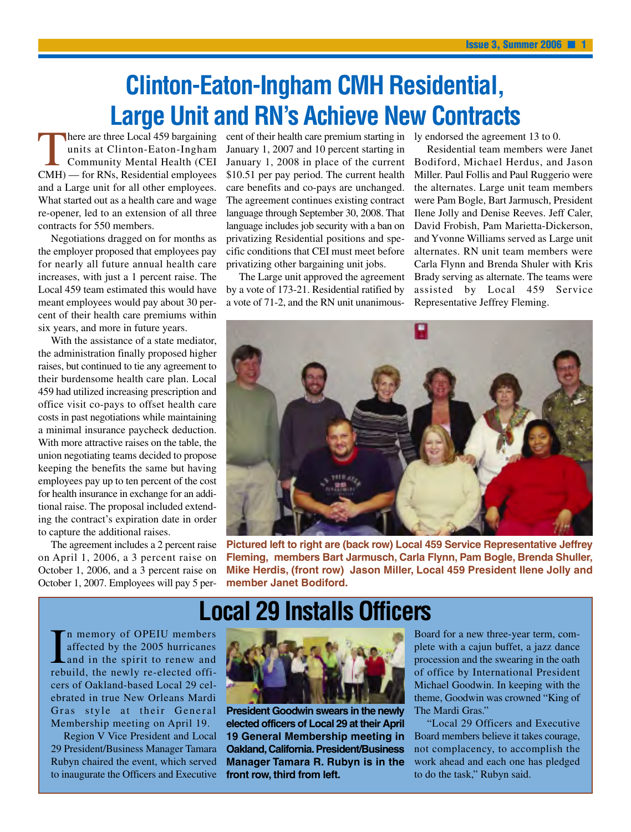### **Clinton-Eaton-Ingham CMH Residential, Large Unit and RN's Achieve New Contracts**

here are three Local 459 bargaining units at Clinton-Eaton-Ingham Community Mental Health (CEI CMH) — for RNs, Residential employees and a Large unit for all other employees. What started out as a health care and wage re-opener, led to an extension of all three contracts for 550 members.

Negotiations dragged on for months as the employer proposed that employees pay for nearly all future annual health care increases, with just a 1 percent raise. The Local 459 team estimated this would have meant employees would pay about 30 percent of their health care premiums within six years, and more in future years.

With the assistance of a state mediator, the administration finally proposed higher raises, but continued to tie any agreement to their burdensome health care plan. Local 459 had utilized increasing prescription and office visit co-pays to offset health care costs in past negotiations while maintaining a minimal insurance paycheck deduction. With more attractive raises on the table, the union negotiating teams decided to propose keeping the benefits the same but having employees pay up to ten percent of the cost for health insurance in exchange for an additional raise. The proposal included extending the contract's expiration date in order to capture the additional raises.

The agreement includes a 2 percent raise on April 1, 2006, a 3 percent raise on October 1, 2006, and a 3 percent raise on October 1, 2007. Employees will pay 5 per-

cent of their health care premium starting in ly endorsed the agreement 13 to 0. January 1, 2007 and 10 percent starting in January 1, 2008 in place of the current \$10.51 per pay period. The current health care benefits and co-pays are unchanged. The agreement continues existing contract language through September 30, 2008. That language includes job security with a ban on privatizing Residential positions and specific conditions that CEI must meet before privatizing other bargaining unit jobs.

The Large unit approved the agreement by a vote of 173-21. Residential ratified by a vote of 71-2, and the RN unit unanimous-

Residential team members were Janet Bodiford, Michael Herdus, and Jason Miller. Paul Follis and Paul Ruggerio were the alternates. Large unit team members were Pam Bogle, Bart Jarmusch, President Ilene Jolly and Denise Reeves. Jeff Caler, David Frobish, Pam Marietta-Dickerson, and Yvonne Williams served as Large unit alternates. RN unit team members were Carla Flynn and Brenda Shuler with Kris Brady serving as alternate. The teams were assisted by Local 459 Service Representative Jeffrey Fleming.



**Pictured left to right are (back row) Local 459 Service Representative Jeffrey Fleming, members Bart Jarmusch, Carla Flynn, Pam Bogle, Brenda Shuller, Mike Herdis, (front row) Jason Miller, Local 459 President Ilene Jolly and member Janet Bodiford.**

### **Local 29 Installs Officers**

In memory of OPEIU members<br>affected by the 2005 hurricanes<br>and in the spirit to renew and<br>rebuild, the newly re-elected offin memory of OPEIU members affected by the 2005 hurricanes and in the spirit to renew and cers of Oakland-based Local 29 celebrated in true New Orleans Mardi Gras style at their General Membership meeting on April 19.

Region V Vice President and Local 29 President/Business Manager Tamara Rubyn chaired the event, which served to inaugurate the Officers and Executive



**President Goodwin swears in the newly elected officers of Local 29 at their April 19 General Membership meeting in Oakland,California.President/Business Manager Tamara R. Rubyn is in the front row, third from left.**

Board for a new three-year term, complete with a cajun buffet, a jazz dance procession and the swearing in the oath of office by International President Michael Goodwin. In keeping with the theme, Goodwin was crowned "King of The Mardi Gras."

"Local 29 Officers and Executive Board members believe it takes courage, not complacency, to accomplish the work ahead and each one has pledged to do the task," Rubyn said.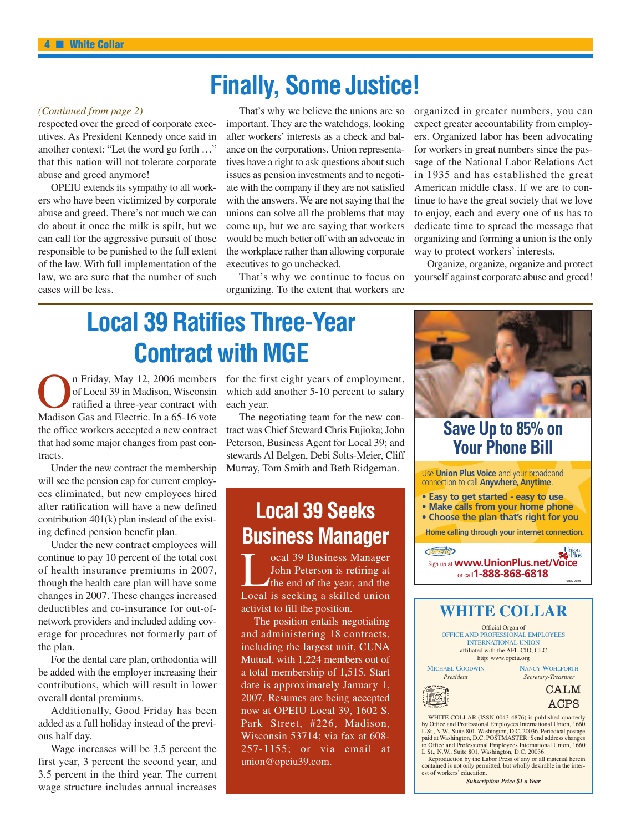### **Finally, Some Justice!**

#### *(Continued from page 2)*

respected over the greed of corporate executives. As President Kennedy once said in another context: "Let the word go forth …" that this nation will not tolerate corporate abuse and greed anymore!

OPEIU extends its sympathy to all workers who have been victimized by corporate abuse and greed. There's not much we can do about it once the milk is spilt, but we can call for the aggressive pursuit of those responsible to be punished to the full extent of the law. With full implementation of the law, we are sure that the number of such cases will be less.

That's why we believe the unions are so important. They are the watchdogs, looking after workers' interests as a check and balance on the corporations. Union representatives have a right to ask questions about such issues as pension investments and to negotiate with the company if they are not satisfied with the answers. We are not saying that the unions can solve all the problems that may come up, but we are saying that workers would be much better off with an advocate in the workplace rather than allowing corporate executives to go unchecked.

That's why we continue to focus on organizing. To the extent that workers are

organized in greater numbers, you can expect greater accountability from employers. Organized labor has been advocating for workers in great numbers since the passage of the National Labor Relations Act in 1935 and has established the great American middle class. If we are to continue to have the great society that we love to enjoy, each and every one of us has to dedicate time to spread the message that organizing and forming a union is the only way to protect workers' interests.

Organize, organize, organize and protect yourself against corporate abuse and greed!

### **Local 39 Ratifies Three-Year Contract with MGE**

On Friday, May 12, 2006 members<br>
of Local 39 in Madison, Wisconsin<br>
ratified a three-year contract with<br>
Madison Gas and Electric. In a 65-16 vote of Local 39 in Madison, Wisconsin ratified a three-year contract with the office workers accepted a new contract that had some major changes from past contracts.

Under the new contract the membership will see the pension cap for current employees eliminated, but new employees hired after ratification will have a new defined contribution 401(k) plan instead of the existing defined pension benefit plan.

Under the new contract employees will continue to pay 10 percent of the total cost of health insurance premiums in 2007, though the health care plan will have some changes in 2007. These changes increased deductibles and co-insurance for out-ofnetwork providers and included adding coverage for procedures not formerly part of the plan.

For the dental care plan, orthodontia will be added with the employer increasing their contributions, which will result in lower overall dental premiums.

Additionally, Good Friday has been added as a full holiday instead of the previous half day.

Wage increases will be 3.5 percent the first year, 3 percent the second year, and 3.5 percent in the third year. The current wage structure includes annual increases

for the first eight years of employment, which add another 5-10 percent to salary each year.

The negotiating team for the new contract was Chief Steward Chris Fujioka; John Peterson, Business Agent for Local 39; and stewards Al Belgen, Debi Solts-Meier, Cliff Murray, Tom Smith and Beth Ridgeman.

### **Local 39 Seeks Business Manager**

Cocal 39 Business Manager<br>John Peterson is retiring at<br>the end of the year, and the<br>Local is seeking a skilled union John Peterson is retiring at the end of the year, and the Local is seeking a skilled union activist to fill the position.

The position entails negotiating and administering 18 contracts, including the largest unit, CUNA Mutual, with 1,224 members out of a total membership of 1,515. Start date is approximately January 1, 2007. Resumes are being accepted now at OPEIU Local 39, 1602 S. Park Street, #226, Madison, Wisconsin 53714; via fax at 608- 257-1155; or via email at union@opeiu39.com.



Reproduction by the Labor Press of any or all material herein contained is not only permitted, but wholly desirable in the interest of workers' education.

*Subscription Price \$1 a Year*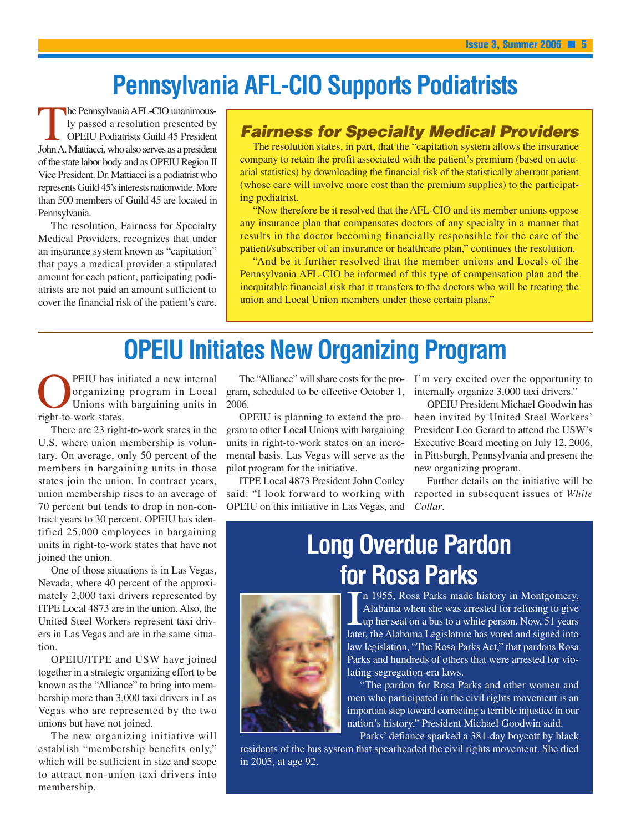### **Pennsylvania AFL-CIO Supports Podiatrists**

The PennsylvaniaAFL-CIO unanimously passed a resolution presented by OPEIU Podiatrists Guild 45 President JohnA. Mattiacci, who also serves as a president of the state labor body and as OPEIU Region II Vice President. Dr. Mattiacci is a podiatrist who represents Guild 45's interests nationwide. More than 500 members of Guild 45 are located in Pennsylvania.

The resolution, Fairness for Specialty Medical Providers, recognizes that under an insurance system known as "capitation" that pays a medical provider a stipulated amount for each patient, participating podiatrists are not paid an amount sufficient to cover the financial risk of the patient's care.

#### *Fairness for Specialty Medical Providers*

The resolution states, in part, that the "capitation system allows the insurance company to retain the profit associated with the patient's premium (based on actuarial statistics) by downloading the financial risk of the statistically aberrant patient (whose care will involve more cost than the premium supplies) to the participating podiatrist.

"Now therefore be it resolved that the AFL-CIO and its member unions oppose any insurance plan that compensates doctors of any specialty in a manner that results in the doctor becoming financially responsible for the care of the patient/subscriber of an insurance or healthcare plan," continues the resolution.

"And be it further resolved that the member unions and Locals of the Pennsylvania AFL-CIO be informed of this type of compensation plan and the inequitable financial risk that it transfers to the doctors who will be treating the union and Local Union members under these certain plans."

# **OPEIU Initiates New Organizing Program**

**OPEIU** has initiated a new internal<br>organizing program in Local<br>Unions with bargaining units in<br>right-to-work states organizing program in Local Unions with bargaining units in right-to-work states.

There are 23 right-to-work states in the U.S. where union membership is voluntary. On average, only 50 percent of the members in bargaining units in those states join the union. In contract years, union membership rises to an average of 70 percent but tends to drop in non-contract years to 30 percent. OPEIU has identified 25,000 employees in bargaining units in right-to-work states that have not joined the union.

One of those situations is in Las Vegas, Nevada, where 40 percent of the approximately 2,000 taxi drivers represented by ITPE Local 4873 are in the union. Also, the United Steel Workers represent taxi drivers in Las Vegas and are in the same situation.

OPEIU/ITPE and USW have joined together in a strategic organizing effort to be known as the "Alliance" to bring into membership more than 3,000 taxi drivers in Las Vegas who are represented by the two unions but have not joined.

The new organizing initiative will establish "membership benefits only," which will be sufficient in size and scope to attract non-union taxi drivers into membership.

gram, scheduled to be effective October 1, 2006.

OPEIU is planning to extend the program to other Local Unions with bargaining units in right-to-work states on an incremental basis. Las Vegas will serve as the pilot program for the initiative.

ITPE Local 4873 President John Conley said: "I look forward to working with OPEIU on this initiative in Las Vegas, and

The "Alliance" will share costs for the pro-I'm very excited over the opportunity to internally organize 3,000 taxi drivers."

> OPEIU President Michael Goodwin has been invited by United Steel Workers' President Leo Gerard to attend the USW's Executive Board meeting on July 12, 2006, in Pittsburgh, Pennsylvania and present the new organizing program.

> Further details on the initiative will be reported in subsequent issues of *White Collar*.

# **Long Overdue Pardon for Rosa Parks**



In 1955, Rosa Parks made history in Montgomery,<br>Alabama when she was arrested for refusing to give<br>up her seat on a bus to a white person. Now, 51 years<br>later, the Alabama Legislature has voted and signed into n 1955, Rosa Parks made history in Montgomery, Alabama when she was arrested for refusing to give up her seat on a bus to a white person. Now, 51 years law legislation, "The Rosa Parks Act," that pardons Rosa Parks and hundreds of others that were arrested for violating segregation-era laws.

"The pardon for Rosa Parks and other women and men who participated in the civil rights movement is an important step toward correcting a terrible injustice in our nation's history," President Michael Goodwin said.

Parks' defiance sparked a 381-day boycott by black residents of the bus system that spearheaded the civil rights movement. She died in 2005, at age 92.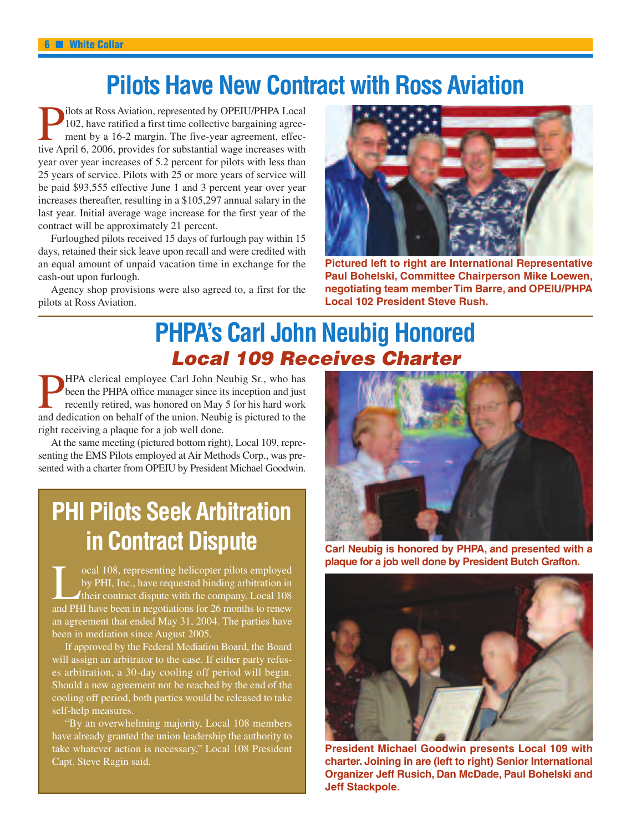### **Pilots Have New Contract with Ross Aviation**

ilots at Ross Aviation, represented by OPEIU/PHPA Local 102, have ratified a first time collective bargaining agreement by a 16-2 margin. The five-year agreement, effective April 6, 2006, provides for substantial wage increases with year over year increases of 5.2 percent for pilots with less than 25 years of service. Pilots with 25 or more years of service will be paid \$93,555 effective June 1 and 3 percent year over year increases thereafter, resulting in a \$105,297 annual salary in the last year. Initial average wage increase for the first year of the contract will be approximately 21 percent.

Furloughed pilots received 15 days of furlough pay within 15 days, retained their sick leave upon recall and were credited with an equal amount of unpaid vacation time in exchange for the cash-out upon furlough.

Agency shop provisions were also agreed to, a first for the pilots at Ross Aviation.



**Pictured left to right are International Representative Paul Bohelski, Committee Chairperson Mike Loewen, negotiating team member Tim Barre, and OPEIU/PHPA Local 102 President Steve Rush.**

### **PHPA's Carl John Neubig Honored** *Local 109 Receives Charter*

HPA clerical employee Carl John Neubig Sr., who has been the PHPA office manager since its inception and just recently retired, was honored on May 5 for his hard work and dedication on behalf of the union. Neubig is pictured to the right receiving a plaque for a job well done.

At the same meeting (pictured bottom right), Local 109, representing the EMS Pilots employed at Air Methods Corp., was presented with a charter from OPEIU by President Michael Goodwin.

### **PHI Pilots Seek Arbitration in Contract Dispute**

cal 108, representing helicopter pilots employed<br>by PHI, Inc., have requested binding arbitration in<br>their contract dispute with the company. Local 108<br>and PHI have been in negotiations for 26 months to renew by PHI, Inc., have requested binding arbitration in their contract dispute with the company. Local 108 an agreement that ended May 31, 2004. The parties have been in mediation since August 2005.

If approved by the Federal Mediation Board, the Board will assign an arbitrator to the case. If either party refuses arbitration, a 30-day cooling off period will begin. Should a new agreement not be reached by the end of the cooling off period, both parties would be released to take self-help measures.

"By an overwhelming majority, Local 108 members have already granted the union leadership the authority to take whatever action is necessary," Local 108 President Capt. Steve Ragin said.



**Carl Neubig is honored by PHPA, and presented with a plaque for a job well done by President Butch Grafton.**



**President Michael Goodwin presents Local 109 with charter. Joining in are (left to right) Senior International Organizer Jeff Rusich, Dan McDade, Paul Bohelski and Jeff Stackpole.**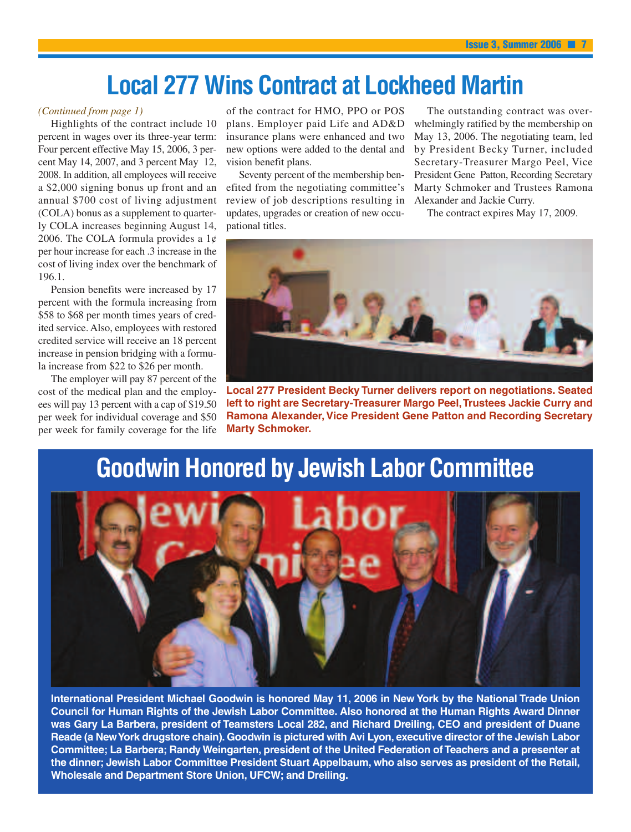### **Local 277 Wins Contract at Lockheed Martin**

Highlights of the contract include 10 percent in wages over its three-year term: Four percent effective May 15, 2006, 3 percent May 14, 2007, and 3 percent May 12, 2008. In addition, all employees will receive a \$2,000 signing bonus up front and an annual \$700 cost of living adjustment (COLA) bonus as a supplement to quarterly COLA increases beginning August 14, 2006. The COLA formula provides a  $1¢$ per hour increase for each .3 increase in the cost of living index over the benchmark of 196.1.

Pension benefits were increased by 17 percent with the formula increasing from \$58 to \$68 per month times years of credited service. Also, employees with restored credited service will receive an 18 percent increase in pension bridging with a formula increase from \$22 to \$26 per month.

The employer will pay 87 percent of the cost of the medical plan and the employees will pay 13 percent with a cap of \$19.50 per week for individual coverage and \$50 per week for family coverage for the life

of the contract for HMO, PPO or POS plans. Employer paid Life and AD&D insurance plans were enhanced and two new options were added to the dental and vision benefit plans.

Seventy percent of the membership benefited from the negotiating committee's review of job descriptions resulting in updates, upgrades or creation of new occupational titles.

*(Continued from page 1)* of the contract for HMO, PPO or POS The outstanding contract was overwhelmingly ratified by the membership on May 13, 2006. The negotiating team, led by President Becky Turner, included Secretary-Treasurer Margo Peel, Vice President Gene Patton, Recording Secretary Marty Schmoker and Trustees Ramona Alexander and Jackie Curry.

The contract expires May 17, 2009.



**Local 277 President Becky Turner delivers report on negotiations. Seated** left to right are Secretary-Treasurer Margo Peel, Trustees Jackie Curry and **Ramona Alexander, Vice President Gene Patton and Recording Secretary Marty Schmoker.**

### **Goodwin Honored by Jewish Labor Committee**



**International President Michael Goodwin is honored May 11, 2006 in New York by the National Trade Union Council for Human Rights of the Jewish Labor Committee. Also honored at the Human Rights Award Dinner was Gary La Barbera, president of Teamsters Local 282, and Richard Dreiling, CEO and president of Duane Reade (a NewYork drugstore chain). Goodwin is pictured with Avi Lyon, executive director of the Jewish Labor Committee; La Barbera; Randy Weingarten, president of the United Federation of Teachers and a presenter at the dinner; Jewish Labor Committee President Stuart Appelbaum, who also serves as president of the Retail, Wholesale and Department Store Union, UFCW; and Dreiling.**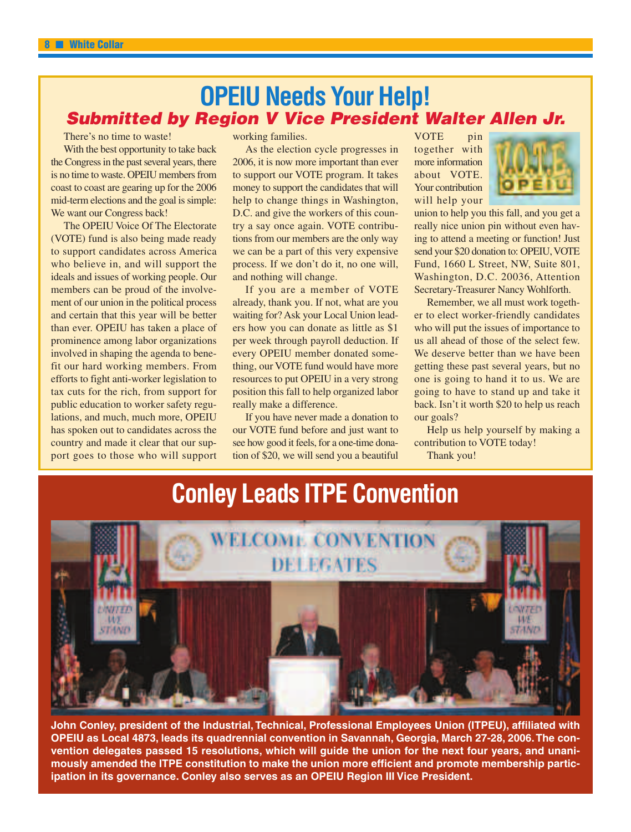### **OPEIU Needs Your Help!** *Submitted by Region V Vice President Walter Allen Jr.*

There's no time to waste!

With the best opportunity to take back the Congress in the past several years, there is no time to waste. OPEIU members from coast to coast are gearing up for the 2006 mid-term elections and the goal is simple: We want our Congress back!

The OPEIU Voice Of The Electorate (VOTE) fund is also being made ready to support candidates across America who believe in, and will support the ideals and issues of working people. Our members can be proud of the involvement of our union in the political process and certain that this year will be better than ever. OPEIU has taken a place of prominence among labor organizations involved in shaping the agenda to benefit our hard working members. From efforts to fight anti-worker legislation to tax cuts for the rich, from support for public education to worker safety regulations, and much, much more, OPEIU has spoken out to candidates across the country and made it clear that our support goes to those who will support

working families.

As the election cycle progresses in 2006, it is now more important than ever to support our VOTE program. It takes money to support the candidates that will help to change things in Washington, D.C. and give the workers of this country a say once again. VOTE contributions from our members are the only way we can be a part of this very expensive process. If we don't do it, no one will, and nothing will change.

If you are a member of VOTE already, thank you. If not, what are you waiting for? Ask your Local Union leaders how you can donate as little as \$1 per week through payroll deduction. If every OPEIU member donated something, our VOTE fund would have more resources to put OPEIU in a very strong position this fall to help organized labor really make a difference.

If you have never made a donation to our VOTE fund before and just want to see how good it feels, for a one-time donation of \$20, we will send you a beautiful

VOTE pin together with more information about VOTE. Your contribution will help your



union to help you this fall, and you get a really nice union pin without even having to attend a meeting or function! Just send your \$20 donation to: OPEIU, VOTE Fund, 1660 L Street, NW, Suite 801, Washington, D.C. 20036, Attention Secretary-Treasurer Nancy Wohlforth.

Remember, we all must work together to elect worker-friendly candidates who will put the issues of importance to us all ahead of those of the select few. We deserve better than we have been getting these past several years, but no one is going to hand it to us. We are going to have to stand up and take it back. Isn't it worth \$20 to help us reach our goals?

Help us help yourself by making a contribution to VOTE today!

Thank you!



**John Conley, president of the Industrial, Technical, Professional Employees Union (ITPEU), affiliated with OPEIU as Local 4873, leads its quadrennial convention in Savannah, Georgia, March 27-28, 2006.The convention delegates passed 15 resolutions, which will guide the union for the next four years, and unanimously amended the ITPE constitution to make the union more efficient and promote membership participation in its governance. Conley also serves as an OPEIU Region III Vice President.**

### **Conley Leads ITPE Convention**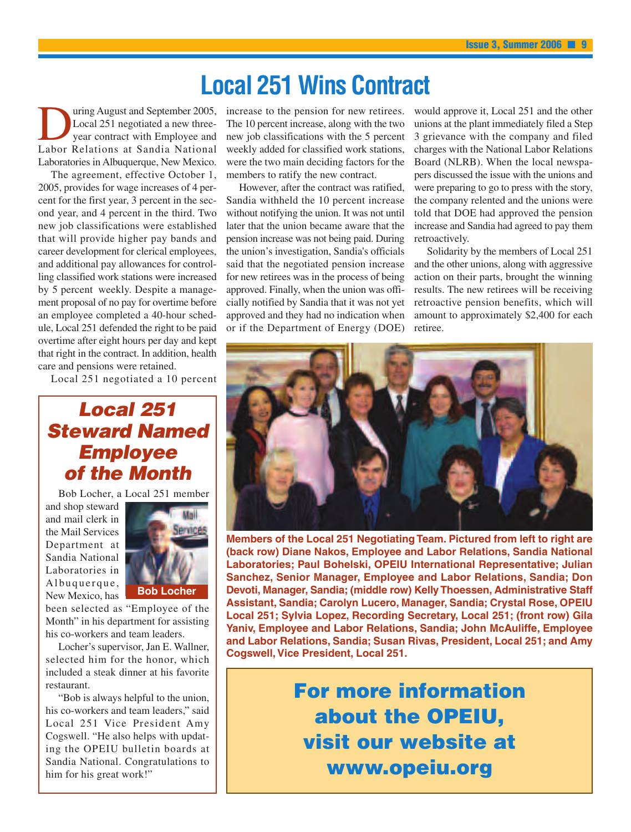### **Local 251 Wins Contract**

Using August and September 2005,<br>Local 251 negotiated a new three-<br>Labor Relations at Sandia National Local 251 negotiated a new threeyear contract with Employee and Laboratories in Albuquerque, New Mexico.

The agreement, effective October 1, 2005, provides for wage increases of 4 percent for the first year, 3 percent in the second year, and 4 percent in the third. Two new job classifications were established that will provide higher pay bands and career development for clerical employees, and additional pay allowances for controlling classified work stations were increased by 5 percent weekly. Despite a management proposal of no pay for overtime before an employee completed a 40-hour schedule, Local 251 defended the right to be paid overtime after eight hours per day and kept that right in the contract. In addition, health care and pensions were retained.

Local 251 negotiated a 10 percent

### *Local 251 Steward Named Employee of the Month*

Bob Locher, a Local 251 member

and shop steward and mail clerk in the Mail Services Department at Sandia National Laboratories in Albuquerque, New Mexico, has



been selected as "Employee of the Month" in his department for assisting his co-workers and team leaders.

Locher's supervisor, Jan E. Wallner, selected him for the honor, which included a steak dinner at his favorite restaurant.

"Bob is always helpful to the union, his co-workers and team leaders," said Local 251 Vice President Amy Cogswell. "He also helps with updating the OPEIU bulletin boards at Sandia National. Congratulations to him for his great work!"

increase to the pension for new retirees. The 10 percent increase, along with the two new job classifications with the 5 percent weekly added for classified work stations, were the two main deciding factors for the members to ratify the new contract.

However, after the contract was ratified, Sandia withheld the 10 percent increase without notifying the union. It was not until later that the union became aware that the pension increase was not being paid. During the union's investigation, Sandia's officials said that the negotiated pension increase for new retirees was in the process of being approved. Finally, when the union was officially notified by Sandia that it was not yet approved and they had no indication when or if the Department of Energy (DOE)

would approve it, Local 251 and the other unions at the plant immediately filed a Step 3 grievance with the company and filed charges with the National Labor Relations Board (NLRB). When the local newspapers discussed the issue with the unions and were preparing to go to press with the story, the company relented and the unions were told that DOE had approved the pension increase and Sandia had agreed to pay them retroactively.

Solidarity by the members of Local 251 and the other unions, along with aggressive action on their parts, brought the winning results. The new retirees will be receiving retroactive pension benefits, which will amount to approximately \$2,400 for each retiree.



**Members of the Local 251 Negotiating Team. Pictured from left to right are (back row) Diane Nakos, Employee and Labor Relations, Sandia National Laboratories; Paul Bohelski, OPEIU International Representative; Julian Sanchez, Senior Manager, Employee and Labor Relations, Sandia; Don Devoti, Manager, Sandia; (middle row) Kelly Thoessen, Administrative Staff Assistant, Sandia; Carolyn Lucero, Manager, Sandia; Crystal Rose, OPEIU Local 251; Sylvia Lopez, Recording Secretary, Local 251; (front row) Gila Yaniv, Employee and Labor Relations, Sandia; John McAuliffe, Employee and Labor Relations, Sandia; Susan Rivas, President, Local 251; and Amy Cogswell, Vice President, Local 251.**

> **For more information about the OPEIU, visit our website at www.opeiu.org**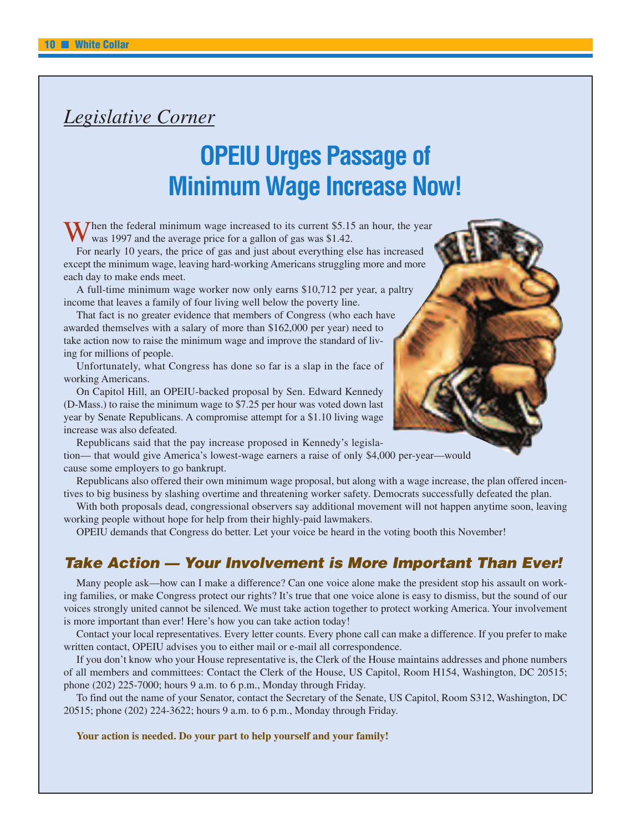### *Legislative Corner*

### **OPEIU Urges Passage of Minimum Wage Increase Now!**

Then the federal minimum wage increased to its current \$5.15 an hour, the year was 1997 and the average price for a gallon of gas was \$1.42.

For nearly 10 years, the price of gas and just about everything else has increased except the minimum wage, leaving hard-working Americans struggling more and more each day to make ends meet.

A full-time minimum wage worker now only earns \$10,712 per year, a paltry income that leaves a family of four living well below the poverty line.

That fact is no greater evidence that members of Congress (who each have awarded themselves with a salary of more than \$162,000 per year) need to take action now to raise the minimum wage and improve the standard of living for millions of people.

Unfortunately, what Congress has done so far is a slap in the face of working Americans.

On Capitol Hill, an OPEIU-backed proposal by Sen. Edward Kennedy (D-Mass.) to raise the minimum wage to \$7.25 per hour was voted down last year by Senate Republicans. A compromise attempt for a \$1.10 living wage increase was also defeated.

Republicans said that the pay increase proposed in Kennedy's legislation— that would give America's lowest-wage earners a raise of only \$4,000 per-year—would cause some employers to go bankrupt.

Republicans also offered their own minimum wage proposal, but along with a wage increase, the plan offered incentives to big business by slashing overtime and threatening worker safety. Democrats successfully defeated the plan.

With both proposals dead, congressional observers say additional movement will not happen anytime soon, leaving working people without hope for help from their highly-paid lawmakers.

OPEIU demands that Congress do better. Let your voice be heard in the voting booth this November!

#### *Take Action — Your Involvement is More Important Than Ever!*

Many people ask—how can I make a difference? Can one voice alone make the president stop his assault on working families, or make Congress protect our rights? It's true that one voice alone is easy to dismiss, but the sound of our voices strongly united cannot be silenced. We must take action together to protect working America. Your involvement is more important than ever! Here's how you can take action today!

Contact your local representatives. Every letter counts. Every phone call can make a difference. If you prefer to make written contact, OPEIU advises you to either mail or e-mail all correspondence.

If you don't know who your House representative is, the Clerk of the House maintains addresses and phone numbers of all members and committees: Contact the Clerk of the House, US Capitol, Room H154, Washington, DC 20515; phone (202) 225-7000; hours 9 a.m. to 6 p.m., Monday through Friday.

To find out the name of your Senator, contact the Secretary of the Senate, US Capitol, Room S312, Washington, DC 20515; phone (202) 224-3622; hours 9 a.m. to 6 p.m., Monday through Friday.

**Your action is needed. Do your part to help yourself and your family!**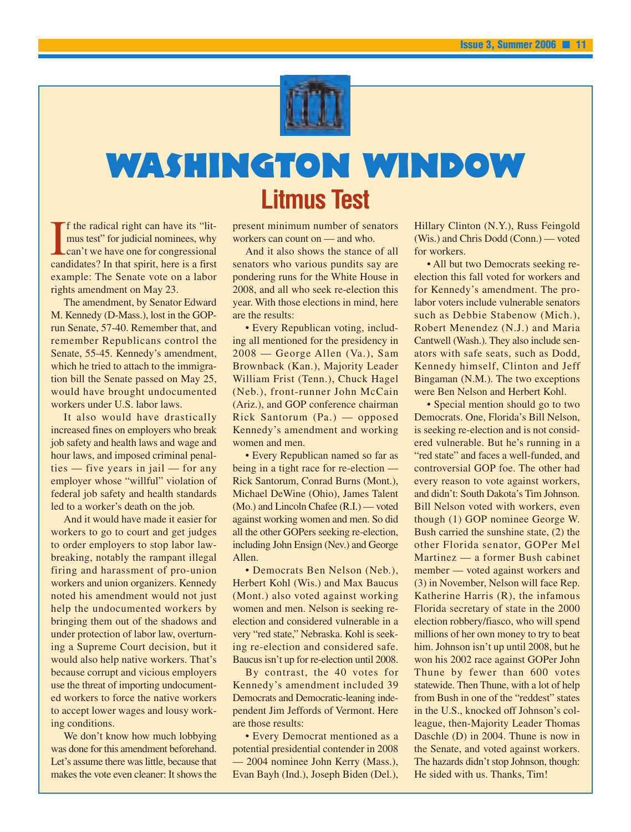

# **Washington Window Litmus Test**

I<sub>can</sub> f the radical right can have its "litmus test" for judicial nominees, why can't we have one for congressional candidates? In that spirit, here is a first example: The Senate vote on a labor rights amendment on May 23.

The amendment, by Senator Edward M. Kennedy (D-Mass.), lost in the GOPrun Senate, 57-40. Remember that, and remember Republicans control the Senate, 55-45. Kennedy's amendment, which he tried to attach to the immigration bill the Senate passed on May 25, would have brought undocumented workers under U.S. labor laws.

It also would have drastically increased fines on employers who break job safety and health laws and wage and hour laws, and imposed criminal penalties — five years in jail — for any employer whose "willful" violation of federal job safety and health standards led to a worker's death on the job.

And it would have made it easier for workers to go to court and get judges to order employers to stop labor lawbreaking, notably the rampant illegal firing and harassment of pro-union workers and union organizers. Kennedy noted his amendment would not just help the undocumented workers by bringing them out of the shadows and under protection of labor law, overturning a Supreme Court decision, but it would also help native workers. That's because corrupt and vicious employers use the threat of importing undocumented workers to force the native workers to accept lower wages and lousy working conditions.

We don't know how much lobbying was done for this amendment beforehand. Let's assume there was little, because that makes the vote even cleaner: It shows the present minimum number of senators workers can count on — and who.

And it also shows the stance of all senators who various pundits say are pondering runs for the White House in 2008, and all who seek re-election this year. With those elections in mind, here are the results:

• Every Republican voting, including all mentioned for the presidency in 2008 — George Allen (Va.), Sam Brownback (Kan.), Majority Leader William Frist (Tenn.), Chuck Hagel (Neb.), front-runner John McCain (Ariz.), and GOP conference chairman Rick Santorum (Pa.) — opposed Kennedy's amendment and working women and men.

• Every Republican named so far as being in a tight race for re-election — Rick Santorum, Conrad Burns (Mont.), Michael DeWine (Ohio), James Talent (Mo.) and Lincoln Chafee (R.I.) — voted against working women and men. So did all the other GOPers seeking re-election, including John Ensign (Nev.) and George Allen.

• Democrats Ben Nelson (Neb.), Herbert Kohl (Wis.) and Max Baucus (Mont.) also voted against working women and men. Nelson is seeking reelection and considered vulnerable in a very "red state," Nebraska. Kohl is seeking re-election and considered safe. Baucus isn't up for re-election until 2008.

By contrast, the 40 votes for Kennedy's amendment included 39 Democrats and Democratic-leaning independent Jim Jeffords of Vermont. Here are those results:

• Every Democrat mentioned as a potential presidential contender in 2008 — 2004 nominee John Kerry (Mass.), Evan Bayh (Ind.), Joseph Biden (Del.), Hillary Clinton (N.Y.), Russ Feingold (Wis.) and Chris Dodd (Conn.) — voted for workers.

• All but two Democrats seeking reelection this fall voted for workers and for Kennedy's amendment. The prolabor voters include vulnerable senators such as Debbie Stabenow (Mich.), Robert Menendez (N.J.) and Maria Cantwell (Wash.). They also include senators with safe seats, such as Dodd, Kennedy himself, Clinton and Jeff Bingaman (N.M.). The two exceptions were Ben Nelson and Herbert Kohl.

• Special mention should go to two Democrats. One, Florida's Bill Nelson, is seeking re-election and is not considered vulnerable. But he's running in a "red state" and faces a well-funded, and controversial GOP foe. The other had every reason to vote against workers, and didn't: South Dakota's Tim Johnson. Bill Nelson voted with workers, even though (1) GOP nominee George W. Bush carried the sunshine state, (2) the other Florida senator, GOPer Mel Martinez — a former Bush cabinet member — voted against workers and (3) in November, Nelson will face Rep. Katherine Harris (R), the infamous Florida secretary of state in the 2000 election robbery/fiasco, who will spend millions of her own money to try to beat him. Johnson isn't up until 2008, but he won his 2002 race against GOPer John Thune by fewer than 600 votes statewide. Then Thune, with a lot of help from Bush in one of the "reddest" states in the U.S., knocked off Johnson's colleague, then-Majority Leader Thomas Daschle (D) in 2004. Thune is now in the Senate, and voted against workers. The hazards didn't stop Johnson, though: He sided with us. Thanks, Tim!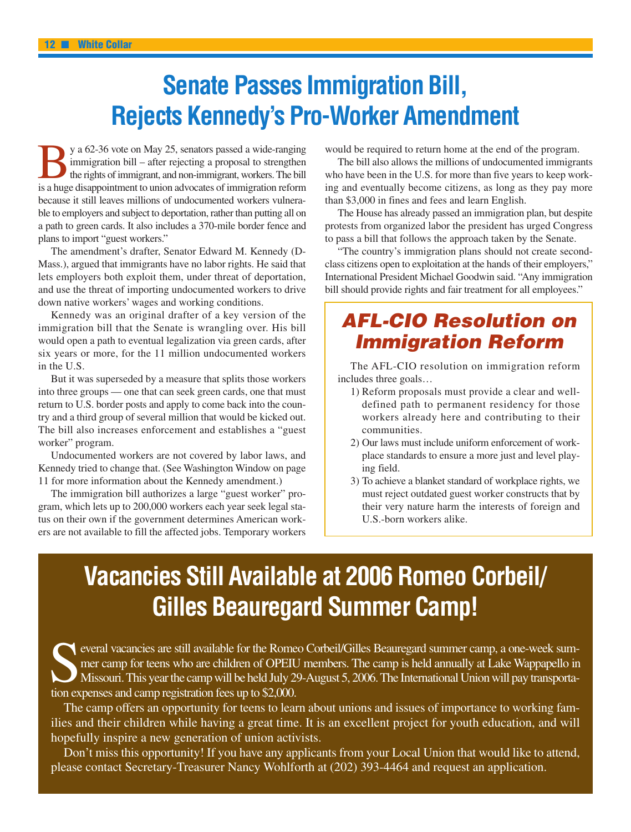# **Senate Passes Immigration Bill, Rejects Kennedy's Pro-Worker Amendment**

y a 62-36 vote on May 25, senators passed a wide-ranging immigration bill – after rejecting a proposal to strengthen the rights of immigrant, and non-immigrant, workers. The bill is a huge disappointment to union advocates of immigration reform because it still leaves millions of undocumented workers vulnerable to employers and subject to deportation, rather than putting all on a path to green cards. It also includes a 370-mile border fence and plans to import "guest workers."

The amendment's drafter, Senator Edward M. Kennedy (D-Mass.), argued that immigrants have no labor rights. He said that lets employers both exploit them, under threat of deportation, and use the threat of importing undocumented workers to drive down native workers' wages and working conditions.

Kennedy was an original drafter of a key version of the immigration bill that the Senate is wrangling over. His bill would open a path to eventual legalization via green cards, after six years or more, for the 11 million undocumented workers in the U.S.

But it was superseded by a measure that splits those workers into three groups — one that can seek green cards, one that must return to U.S. border posts and apply to come back into the country and a third group of several million that would be kicked out. The bill also increases enforcement and establishes a "guest worker" program.

Undocumented workers are not covered by labor laws, and Kennedy tried to change that. (See Washington Window on page 11 for more information about the Kennedy amendment.)

The immigration bill authorizes a large "guest worker" program, which lets up to 200,000 workers each year seek legal status on their own if the government determines American workers are not available to fill the affected jobs. Temporary workers would be required to return home at the end of the program.

The bill also allows the millions of undocumented immigrants who have been in the U.S. for more than five years to keep working and eventually become citizens, as long as they pay more than \$3,000 in fines and fees and learn English.

The House has already passed an immigration plan, but despite protests from organized labor the president has urged Congress to pass a bill that follows the approach taken by the Senate.

"The country's immigration plans should not create secondclass citizens open to exploitation at the hands of their employers," International President Michael Goodwin said. "Any immigration bill should provide rights and fair treatment for all employees."

### *AFL-CIO Resolution on Immigration Reform*

The AFL-CIO resolution on immigration reform includes three goals…

- 1) Reform proposals must provide a clear and welldefined path to permanent residency for those workers already here and contributing to their communities.
- 2) Our laws must include uniform enforcement of workplace standards to ensure a more just and level playing field.
- 3) To achieve a blanket standard of workplace rights, we must reject outdated guest worker constructs that by their very nature harm the interests of foreign and U.S.-born workers alike.

# **Vacancies Still Available at 2006 Romeo Corbeil/ Gilles Beauregard Summer Camp!**

Several vacancies are still available for the Romeo Corbeil/Gilles Beauregard summer camp, a one-week summer camp for teens who are children of OPEIU members. The camp is held annually at Lake Wappapello in Missouri. This mer camp for teens who are children of OPEIU members. The camp is held annually at Lake Wappapello in Missouri.This year the camp will be held July 29-August 5, 2006.The International Union will pay transportation expenses and camp registration fees up to \$2,000.

The camp offers an opportunity for teens to learn about unions and issues of importance to working families and their children while having a great time. It is an excellent project for youth education, and will hopefully inspire a new generation of union activists.

Don't miss this opportunity! If you have any applicants from your Local Union that would like to attend, please contact Secretary-Treasurer Nancy Wohlforth at (202) 393-4464 and request an application.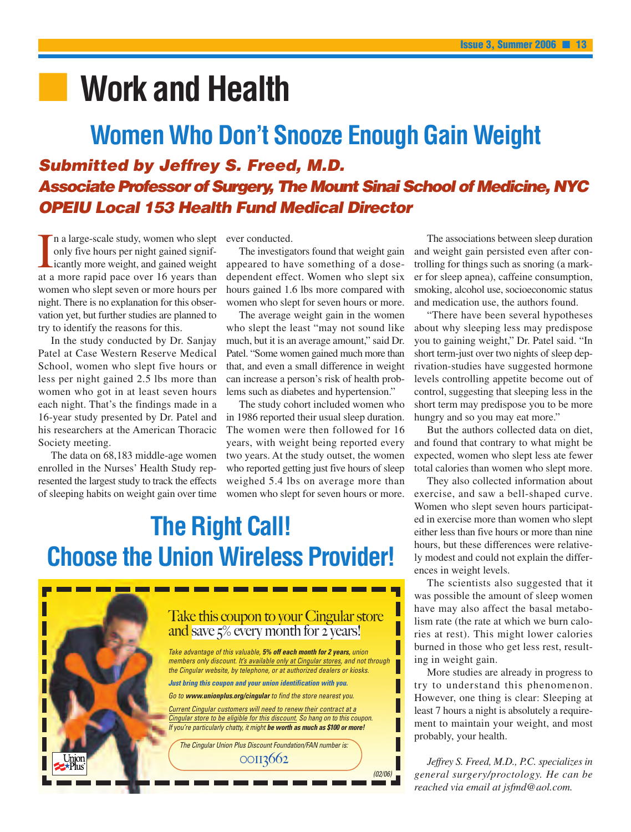# **■ Work and Health**

### **Women Who Don't Snooze Enough Gain Weight** *Submitted by Jeffrey S. Freed, M.D. Associate Professor of Surgery, The Mount Sinai School of Medicine, NYC OPEIU Local 153 Health Fund Medical Director*

I a large-scale study, women who slept<br>only five hours per night gained signif-<br>icantly more weight, and gained weight<br>at a more rapid pace over 16 years than n a large-scale study, women who slept only five hours per night gained significantly more weight, and gained weight women who slept seven or more hours per night. There is no explanation for this observation yet, but further studies are planned to try to identify the reasons for this.

In the study conducted by Dr. Sanjay Patel at Case Western Reserve Medical School, women who slept five hours or less per night gained 2.5 lbs more than women who got in at least seven hours each night. That's the findings made in a 16-year study presented by Dr. Patel and his researchers at the American Thoracic Society meeting.

The data on 68,183 middle-age women enrolled in the Nurses' Health Study represented the largest study to track the effects of sleeping habits on weight gain over time

ever conducted.

The investigators found that weight gain appeared to have something of a dosedependent effect. Women who slept six hours gained 1.6 lbs more compared with women who slept for seven hours or more.

The average weight gain in the women who slept the least "may not sound like much, but it is an average amount," said Dr. Patel. "Some women gained much more than that, and even a small difference in weight can increase a person's risk of health problems such as diabetes and hypertension."

The study cohort included women who in 1986 reported their usual sleep duration. The women were then followed for 16 years, with weight being reported every two years. At the study outset, the women who reported getting just five hours of sleep weighed 5.4 lbs on average more than women who slept for seven hours or more.

# **The Right Call! Choose the Union Wireless Provider!**



The associations between sleep duration and weight gain persisted even after controlling for things such as snoring (a marker for sleep apnea), caffeine consumption, smoking, alcohol use, socioeconomic status and medication use, the authors found.

"There have been several hypotheses about why sleeping less may predispose you to gaining weight," Dr. Patel said. "In short term-just over two nights of sleep deprivation-studies have suggested hormone levels controlling appetite become out of control, suggesting that sleeping less in the short term may predispose you to be more hungry and so you may eat more."

But the authors collected data on diet, and found that contrary to what might be expected, women who slept less ate fewer total calories than women who slept more.

They also collected information about exercise, and saw a bell-shaped curve. Women who slept seven hours participated in exercise more than women who slept either less than five hours or more than nine hours, but these differences were relatively modest and could not explain the differences in weight levels.

The scientists also suggested that it was possible the amount of sleep women have may also affect the basal metabolism rate (the rate at which we burn calories at rest). This might lower calories burned in those who get less rest, resulting in weight gain.

More studies are already in progress to try to understand this phenomenon. However, one thing is clear: Sleeping at least 7 hours a night is absolutely a requirement to maintain your weight, and most probably, your health.

*Jeffrey S. Freed, M.D., P.C. specializes in general surgery/proctology. He can be reached via email at jsfmd@aol.com.*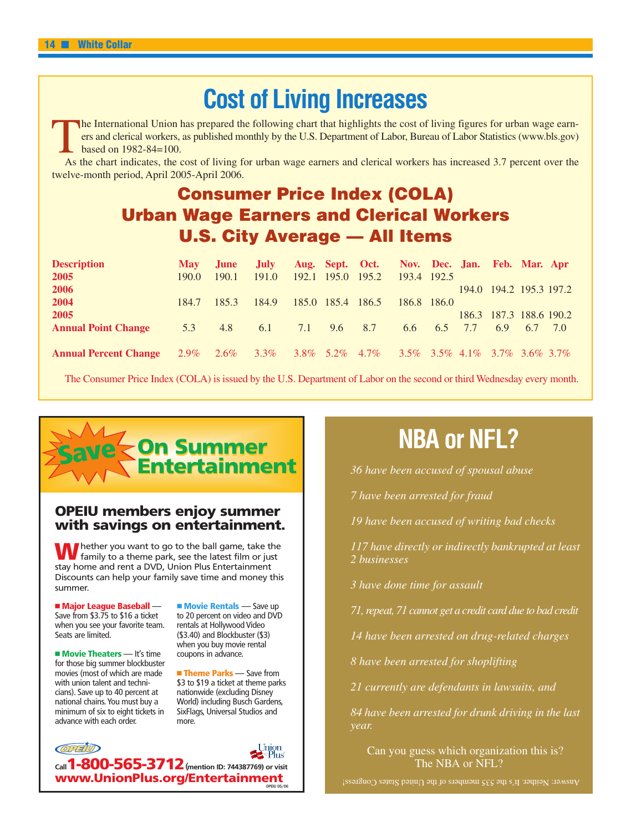### **Cost of Living Increases**

The International Union has prepared the following chart that highlights the cost of living figures for urban wage earn-<br>
ers and clerical workers, as published monthly by the U.S. Department of Labor, Bureau of Labor Stat ers and clerical workers, as published monthly by the U.S. Department of Labor, Bureau of Labor Statistics (www.bls.gov) based on 1982-84=100.

As the chart indicates, the cost of living for urban wage earners and clerical workers has increased 3.7 percent over the twelve-month period, April 2005-April 2006.

#### **Consumer Price Index (COLA) Urban Wage Earners and Clerical Workers U.S. City Average — All Items**

| <b>Description</b>           | <b>May</b>   | June. | July.                                                                           |                   |               | Aug. Sept. Oct. Nov. Dec. Jan. Feb. Mar. Apr |             |                 |     |                         |     |
|------------------------------|--------------|-------|---------------------------------------------------------------------------------|-------------------|---------------|----------------------------------------------|-------------|-----------------|-----|-------------------------|-----|
| 2005                         | 190.0        | 190.1 | 191.0                                                                           | 192.1 195.0 195.2 |               |                                              | 193.4 192.5 |                 |     |                         |     |
| 2006                         |              |       |                                                                                 |                   |               |                                              |             |                 |     | 194.0 194.2 195.3 197.2 |     |
| 2004                         | 184.7        | 185.3 | 184.9                                                                           | 185.0 185.4 186.5 |               |                                              | 186.8 186.0 |                 |     |                         |     |
| 2005                         |              |       |                                                                                 |                   |               |                                              |             |                 |     | 186.3 187.3 188.6 190.2 |     |
| <b>Annual Point Change</b>   | 5.3          | 4.8   | 6.1                                                                             |                   | $7.1$ 9.6 8.7 |                                              |             | $6.6\qquad 6.5$ | 7.7 | 6.9 6.7                 | 7.0 |
|                              |              |       |                                                                                 |                   |               |                                              |             |                 |     |                         |     |
| <b>Annual Percent Change</b> | $2.9\%$ 2.6% |       | $3.3\%$ $3.8\%$ $5.2\%$ $4.7\%$ $3.5\%$ $3.5\%$ $4.1\%$ $3.7\%$ $3.6\%$ $3.7\%$ |                   |               |                                              |             |                 |     |                         |     |

The Consumer Price Index (COLA) is issued by the U.S. Department of Labor on the second or third Wednesday every month.



#### **OPEIU members enjoy summer with savings on entertainment.**

Whether you want to go to the ball game, take the family to a theme park, see the latest film or just stay home and rent a DVD, Union Plus Entertainment Discounts can help your family save time and money this summer.

- **Major League Baseball** — Save from \$3.75 to \$16 a ticket when you see your favorite team. Seats are limited.

- **Movie Theaters** — It's time for those big summer blockbuster movies (most of which are made with union talent and technicians). Save up to 40 percent at national chains.You must buy a minimum of six to eight tickets in advance with each order.

**Movie Rentals** — Save up to 20 percent on video and DVD rentals at Hollywood Video (\$3.40) and Blockbuster (\$3) when you buy movie rental coupons in advance.

■ Theme Parks — Save from \$3 to \$19 a ticket at theme parks nationwide (excluding Disney World) including Busch Gardens, SixFlags, Universal Studios and more.



# **NBA or NFL?**

*36 have been accused of spousal abuse*

*7 have been arrested for fraud*

*19 have been accused of writing bad checks*

*117 have directly or indirectly bankrupted at least 2 businesses*

*3 have done time for assault*

*71, repeat, 71 cannot get a credit card due to bad credit*

*14 have been arrested on drug-related charges*

*8 have been arrested for shoplifting*

*21 currently are defendants in lawsuits, and*

*84 have been arrested for drunk driving in the last year.*

Can you guess which organization this is? The NBA or NFL?

Answer: Neither. It's the 535 members of the United States Congress!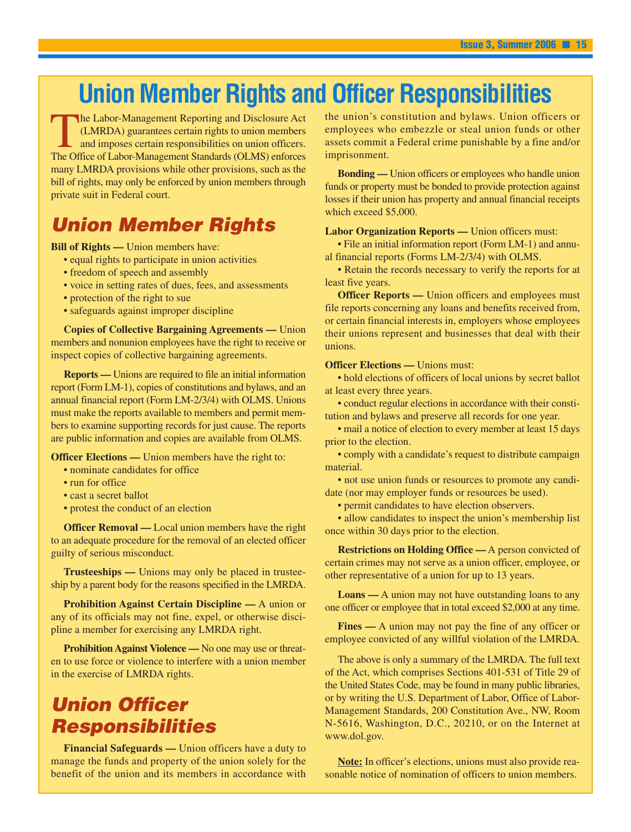### **Union Member Rights and Officer Responsibilities**

The Labor-Management Reporting and Disclosure Act (LMRDA) guarantees certain rights to union members<br>and imposes certain responsibilities on union officers.<br>The Office of Labor-Management Standards (OLMS) enforces (LMRDA) guarantees certain rights to union members and imposes certain responsibilities on union officers. The Office of Labor-Management Standards (OLMS) enforces many LMRDA provisions while other provisions, such as the bill of rights, may only be enforced by union members through private suit in Federal court.

#### *Union Member Rights*

**Bill of Rights —** Union members have:

- equal rights to participate in union activities
- freedom of speech and assembly
- voice in setting rates of dues, fees, and assessments
- protection of the right to sue
- safeguards against improper discipline

**Copies of Collective Bargaining Agreements —** Union members and nonunion employees have the right to receive or inspect copies of collective bargaining agreements.

**Reports —** Unions are required to file an initial information report (Form LM-1), copies of constitutions and bylaws, and an annual financial report (Form LM-2/3/4) with OLMS. Unions must make the reports available to members and permit members to examine supporting records for just cause. The reports are public information and copies are available from OLMS.

**Officer Elections —** Union members have the right to:

- nominate candidates for office
- run for office
- cast a secret ballot
- protest the conduct of an election

**Officer Removal** — Local union members have the right to an adequate procedure for the removal of an elected officer guilty of serious misconduct.

**Trusteeships —** Unions may only be placed in trusteeship by a parent body for the reasons specified in the LMRDA.

**Prohibition Against Certain Discipline —** A union or any of its officials may not fine, expel, or otherwise discipline a member for exercising any LMRDA right.

**Prohibition Against Violence —** No one may use or threaten to use force or violence to interfere with a union member in the exercise of LMRDA rights.

### *Union Officer Responsibilities*

**Financial Safeguards —** Union officers have a duty to manage the funds and property of the union solely for the benefit of the union and its members in accordance with

the union's constitution and bylaws. Union officers or employees who embezzle or steal union funds or other assets commit a Federal crime punishable by a fine and/or imprisonment.

**Bonding —** Union officers or employees who handle union funds or property must be bonded to provide protection against losses if their union has property and annual financial receipts which exceed \$5,000.

#### **Labor Organization Reports —** Union officers must:

• File an initial information report (Form LM-1) and annual financial reports (Forms LM-2/3/4) with OLMS.

• Retain the records necessary to verify the reports for at least five years.

**Officer Reports —** Union officers and employees must file reports concerning any loans and benefits received from, or certain financial interests in, employers whose employees their unions represent and businesses that deal with their unions.

#### **Officer Elections — Unions must:**

• hold elections of officers of local unions by secret ballot at least every three years.

• conduct regular elections in accordance with their constitution and bylaws and preserve all records for one year.

• mail a notice of election to every member at least 15 days prior to the election.

• comply with a candidate's request to distribute campaign material.

• not use union funds or resources to promote any candidate (nor may employer funds or resources be used).

• permit candidates to have election observers.

• allow candidates to inspect the union's membership list once within 30 days prior to the election.

**Restrictions on Holding Office —** A person convicted of certain crimes may not serve as a union officer, employee, or other representative of a union for up to 13 years.

**Loans —** A union may not have outstanding loans to any one officer or employee that in total exceed \$2,000 at any time.

**Fines** — A union may not pay the fine of any officer or employee convicted of any willful violation of the LMRDA.

The above is only a summary of the LMRDA. The full text of the Act, which comprises Sections 401-531 of Title 29 of the United States Code, may be found in many public libraries, or by writing the U.S. Department of Labor, Office of Labor-Management Standards, 200 Constitution Ave., NW, Room N-5616, Washington, D.C., 20210, or on the Internet at www.dol.gov.

**Note:** In officer's elections, unions must also provide reasonable notice of nomination of officers to union members.